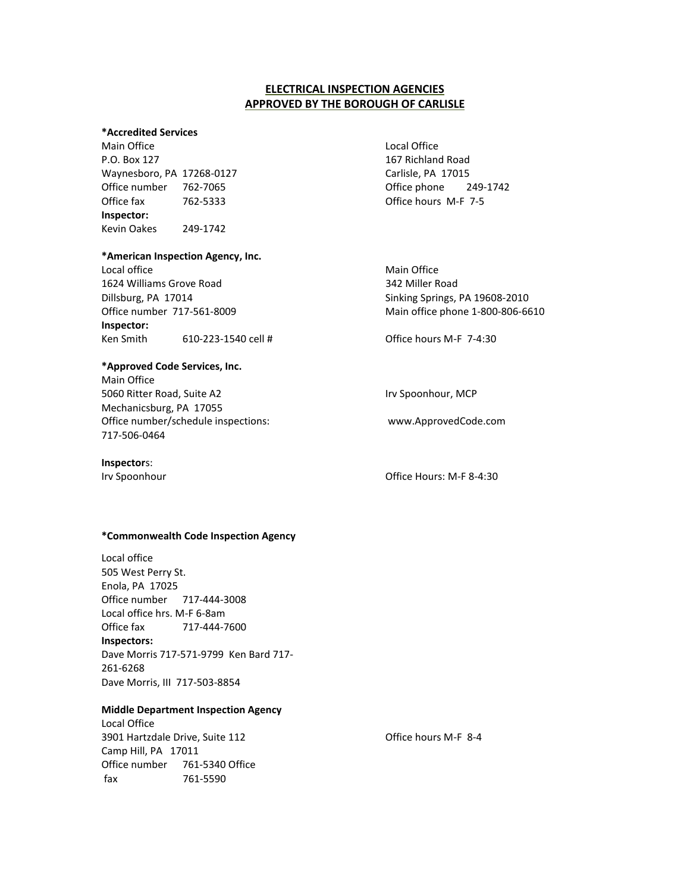# **ELECTRICAL INSPECTION AGENCIES APPROVED BY THE BOROUGH OF CARLISLE**

### **\*Accredited Services**

Main Office **Local Office** Local Office **Local Office** P.O. Box 127 2008 127 2008 167 Richland Road Waynesboro, PA 17268-0127 Carlisle, PA 17015 Office number 762-7065 **Office phone** 249-1742 Office fax 762-5333 **Inspector:** Kevin Oakes 249-1742

#### **\*American Inspection Agency, Inc.**

Local office **Main Office** Main Office **Main Office** Main Office 1624 Williams Grove Road 342 Miller Road Dillsburg, PA 17014 Sinking Springs, PA 19608-2010 Office number 717-561-8009 Main office phone 1-800-806-6610 **Inspector:** Ken Smith 610-223-1540 cell #

## **\*Approved Code Services, Inc.**

Main Office 5060 Ritter Road, Suite A2 Irv Spoonhour, MCP Mechanicsburg, PA 17055 Office number/schedule inspections: 717-506-0464

## **Inspector**s:

Office hours M-F 7-5

Office hours M-F 7-4:30

www.ApprovedCode.com

Irv Spoonhour **Community** Community Community Community Community Community Community Community Community Community

#### **\*Commonwealth Code Inspection Agency**

Local office 505 West Perry St. Enola, PA 17025 Office number 717-444-3008 Local office hrs. M-F 6-8am Office fax 717-444-7600 **Inspectors:** Dave Morris 717-571-9799 Ken Bard 717- 261-6268 Dave Morris, III 717-503-8854

#### **Middle Department Inspection Agency**

Local Office 3901 Hartzdale Drive, Suite 112 Camp Hill, PA 17011 Office number 761-5340 Office fax 761-5590

Office hours M-F 8-4